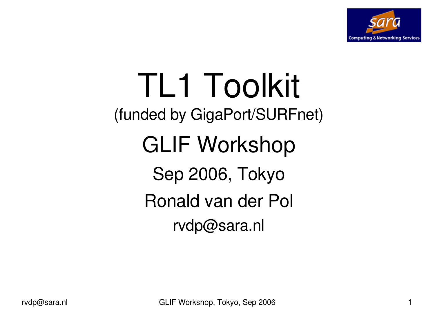

# TL1 Toolkit (funded by GigaPort/SURFnet) GLIF Workshop Sep 2006, Tokyo Ronald van der Pol rvdp@sara.nl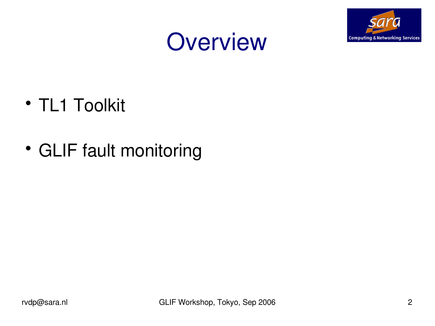



- TL1 Toolkit
- GLIF fault monitoring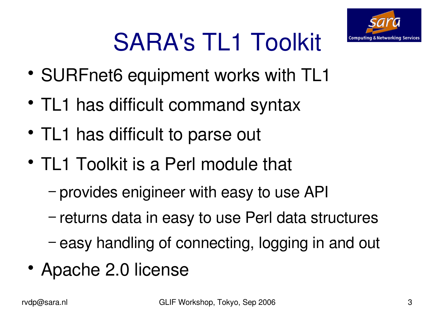

# SARA's TL1 Toolkit

- SURFnet6 equipment works with TL1
- TL1 has difficult command syntax
- TL1 has difficult to parse out
- TL1 Toolkit is a Perl module that
	- − provides enigineer with easy to use API
	- − returns data in easy to use Perl data structures
	- − easy handling of connecting, logging in and out
- Apache 2.0 license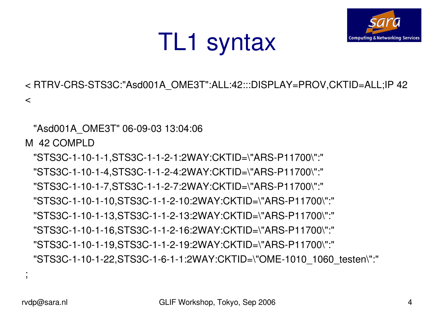;



< RTRV-CRS-STS3C:"Asd001A\_OME3T":ALL:42:::DISPLAY=PROV,CKTID=ALL;IP 42

TL1 syntax

 $\prec$ 

"Asd001A\_OME3T" 06-09-03 13:04:06

M 42 COMPLD

"STS3C-1-10-1-1,STS3C-1-1-2-1:2WAY:CKTID=\"ARS-P11700\":" "STS3C-1-10-1-4,STS3C-1-1-2-4:2WAY:CKTID=\"ARS-P11700\":" "STS3C-1-10-1-7,STS3C-1-1-2-7:2WAY:CKTID=\"ARS-P11700\":" "STS3C-1-10-1-10,STS3C-1-1-2-10:2WAY:CKTID=\"ARS-P11700\":" "STS3C-1-10-1-13,STS3C-1-1-2-13:2WAY:CKTID=\"ARS-P11700\":" "STS3C-1-10-1-16,STS3C-1-1-2-16:2WAY:CKTID=\"ARS-P11700\":" "STS3C-1-10-1-19,STS3C-1-1-2-19:2WAY:CKTID=\"ARS-P11700\":" "STS3C-1-10-1-22,STS3C-1-6-1-1:2WAY:CKTID=\"OME-1010\_1060\_testen\":"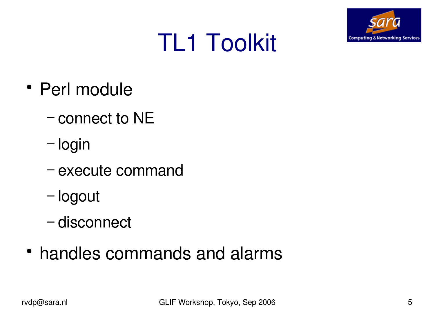

# TL1 Toolkit

- Perl module
	- − connect to NE
	- − login
	- − execute command
	- − logout
	- − disconnect
- handles commands and alarms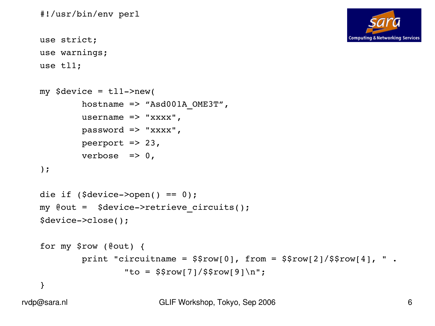

#!/usr/bin/env perl

```
use strict;
use warnings;
```
use tl1;

```
my \texttt{Sdevice} = \texttt{tl1->new}(hostname => "Asd001A OME3T",
         username \Rightarrow "xxxx",
         password => "xxxx",
         peerport \Rightarrow 23,
         verbose \Rightarrow 0,
);
die if ($device->open() == 0);
my @out = $device>retrieve_circuits();
$device>close();
for my $row (@out) {
         print "circuitname = $$row[0], from = $$row[2]/$$row[4], ".
                  "to = $$row[7]/$$row[9]\n";
}
```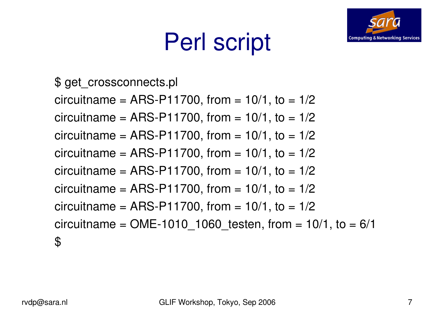# Perl script



\$ get\_crossconnects.pl

circuitname =  $ARS-P11700$ , from =  $10/1$ , to =  $1/2$ circuitname =  $ARS-P11700$ , from =  $10/1$ , to =  $1/2$ 

circuitname =  $ARS-P11700$ , from =  $10/1$ , to =  $1/2$ 

circuitname =  $ARS-P11700$ , from =  $10/1$ , to =  $1/2$ 

circuitname =  $ARS-P11700$ , from =  $10/1$ , to =  $1/2$ 

circuitname =  $ARS-P11700$ , from =  $10/1$ , to =  $1/2$ 

circuitname =  $ARS-P11700$ , from =  $10/1$ , to =  $1/2$ 

circuitname = OME-1010 1060 testen, from =  $10/1$ , to =  $6/1$ \$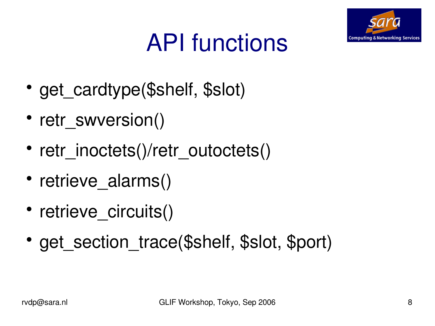

# API functions

- get cardtype(\$shelf, \$slot)
- retr\_swversion()
- retr\_inoctets()/retr\_outoctets()
- retrieve alarms()
- retrieve circuits()
- get section trace(\$shelf, \$slot, \$port)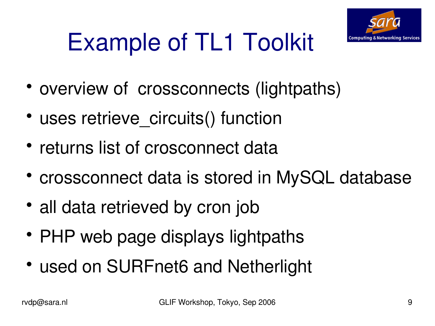

# Example of TL1 Toolkit

- overview of crossconnects (lightpaths)
- uses retrieve circuits() function
- returns list of crosconnect data
- crossconnect data is stored in MySQL database
- all data retrieved by cron job
- PHP web page displays lightpaths
- used on SURFnet6 and Netherlight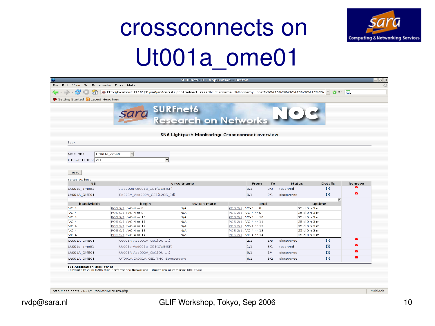#### crossconnects on Ut001a\_ome01



|                              | Getting Started <b>N</b> Latest Headlines    | sara SURFnet6<br>Research on Networks           |                                            |     |                              |                         |                         |
|------------------------------|----------------------------------------------|-------------------------------------------------|--------------------------------------------|-----|------------------------------|-------------------------|-------------------------|
| Back                         |                                              | SN6 Lightpath Monitoring: Crossconnect overview |                                            |     |                              |                         |                         |
| NE FILTER:                   | 킈<br>Ut001a ome01                            |                                                 |                                            |     |                              |                         |                         |
| CIRCUIT FILTER: ALL          | $\vert \cdot \vert$                          |                                                 |                                            |     |                              |                         |                         |
|                              |                                              |                                                 |                                            |     |                              |                         |                         |
| reset                        |                                              |                                                 |                                            |     |                              |                         |                         |
| Sorted by: host<br><b>NE</b> |                                              | circuitname                                     | From                                       | To  | <b>Status</b>                | <b>Details</b>          | Remove                  |
| Ut001a_ome01                 | Asd002a-Ut001a GE1(OWINSP)                   |                                                 | 9/1                                        | 3/3 | reserved                     | ø                       | $\times$                |
| Ut001A_OME01                 | Ed001A Asd002A GE1(L2SS Ed)                  |                                                 | 9/1                                        | 2/1 | discovered                   | $\Box$                  | $\overline{\mathsf{x}}$ |
|                              |                                              |                                                 |                                            |     |                              | $\overline{\mathbf{x}}$ |                         |
| bandwidth                    | begin                                        | switch mate                                     | end                                        |     |                              | uptime                  |                         |
| $VC-4$                       | POS 9/1 ; VC-4 nr 8                          | N/A                                             | POS 2/1 ; VC-4 nr 8                        |     | 25 d 0 h 3 m                 |                         |                         |
| $VC-4$                       | POS 9/1 ; VC-4 nr 9                          | N/A                                             | POS 2/1 ; VC-4 nr 9                        |     | 25 d 0 h 3 m                 |                         |                         |
| $VC-4$                       | POS 9/1 ; VC-4 nr 10                         | N/A                                             | POS 2/1; VC-4 nr 10                        |     | 25 d 0 h 3 m                 |                         |                         |
| $VC-4$                       | POS 9/1; VC-4 nr 11                          | N/A                                             | POS 2/1; VC-4 nr 11                        |     | 25 d 0 h 3 m                 |                         |                         |
| $VC-4$<br>$VC-4$             | POS 9/1 ; VC-4 nr 12<br>POS 9/1 ; VC-4 nr 13 | N/A<br>N/A                                      | POS 2/1; VC-4 nr 12<br>POS 2/1; VC-4 nr 13 |     | 25 d 0 h 3 m<br>25 d 0 h 3 m |                         |                         |
| $VC-4$                       | POS 9/1 ; VC-4 nr 14                         | N/A                                             | POS 2/1; VC-4 nr 14                        |     | 25 d 0 h 3 m                 |                         |                         |
|                              | Ut001A-Asd001A Ge1(OU-Ut)                    |                                                 | 2/1                                        | 1/3 | discovered                   | $\bullet$               | $\boxtimes$             |
|                              | Ut001a-Asd001a GE1(OWINSP)                   |                                                 | 1/1                                        | 6/1 | reserved                     | ø                       | $\overline{\times}$     |
| Ut001A_OME01                 | Ut001A-Asd002A Ge1(OU-Ut)                    |                                                 | 9/1                                        | 1/4 | discovered                   | ø                       | ×                       |
| Ut001a_ome01<br>Ut001A OME01 | UT001A-Dt001A GE1-TNO Soesterberg            |                                                 | 6/1                                        | 3/2 | discovered                   | $\boldsymbol{\Omega}$   | $\overline{\mathbb{X}}$ |
| Ut001A OME01                 |                                              |                                                 |                                            |     |                              |                         |                         |
|                              |                                              |                                                 |                                            |     |                              |                         |                         |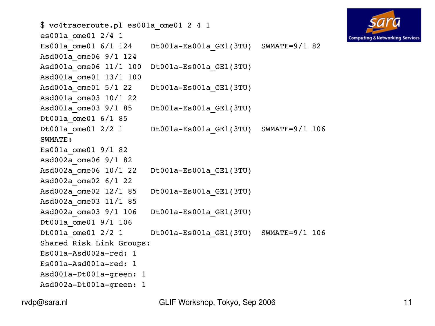```
$ vc4traceroute.pl es001a_ome01 2 4 1
es001a_ome01 2/4 1
Es001a ome01 6/1 124 Dt001a-Es001a GE1(3TU) SWMATE=9/1 82
Asd001a_ome06 9/1 124
Asd001a ome06 11/1 100 Dt001a-Es001a GE1(3TU)
Asd001a_ome01 13/1 100
Asd001a ome01 5/1 22 Dt001a-Es001a GE1(3TU)
Asd001a_ome03 10/1 22
Asd001a ome03 9/1 85 Dt001a-Es001a GE1(3TU)
Dt001a ome01 6/1 85
Dt001a ome01 2/2 1 Dt001a-Es001a GE1(3TU) SWMATE=9/1 106
SWMATE:
Es001a_ome01 9/1 82
Asd002a_ome06 9/1 82
Asd002a ome06 10/1 22 Dt001a-Es001a GE1(3TU)
Asd002a_ome02 6/1 22
Asd002a ome02 12/1 85 Dt001a-Es001a GE1(3TU)
Asd002a_ome03 11/1 85
Asd002a ome03 9/1 106 Dt001a-Es001a GE1(3TU)
Dt001a_ome01 9/1 106
Dt001a ome01 2/2 1 Dt001a-Es001a GE1(3TU) SWMATE=9/1 106
Shared Risk Link Groups:
Es001a-Asd002a-red: 1
Es001a-Asd001a-red: 1
Asd001a-Dt001a-green: 1
Asd002a-Dt001a-green: 1
```


rvdp@sara.nl GLIF Workshop, Tokyo, Sep 2006 11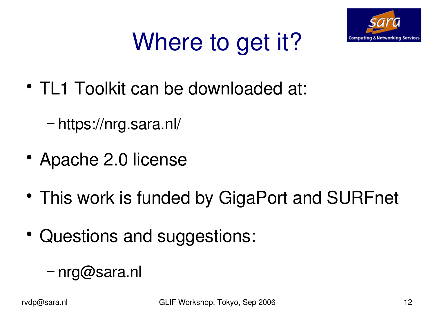

# Where to get it?

- TL1 Toolkit can be downloaded at:
	- − https://nrg.sara.nl/
- Apache 2.0 license
- This work is funded by GigaPort and SURFnet
- Questions and suggestions:
	- − nrg@sara.nl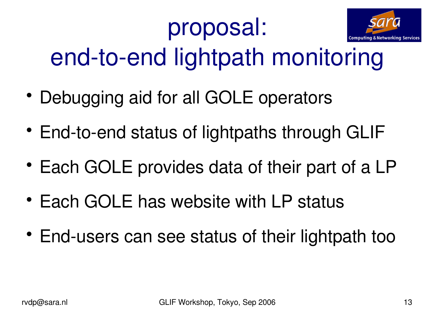## proposal:



end-to-end lightpath monitoring

- Debugging aid for all GOLE operators
- End-to-end status of lightpaths through GLIF
- Each GOLE provides data of their part of a LP
- Each GOLE has website with LP status
- End-users can see status of their lightpath too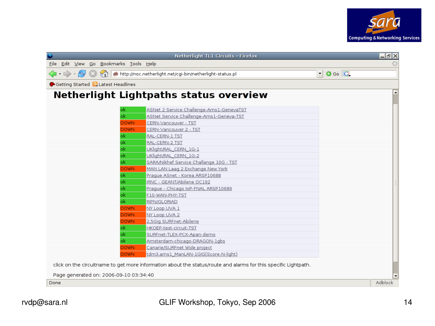

|                                           | Netherlight TL1 Circuits - Firefox                                                                              |                          | 그레지     |
|-------------------------------------------|-----------------------------------------------------------------------------------------------------------------|--------------------------|---------|
| Eile Edit View Go Bookmarks Tools Help    |                                                                                                                 |                          |         |
|                                           |                                                                                                                 | $\bullet$ Go $\boxed{G}$ |         |
| Getting Started <b>N</b> Latest Headlines |                                                                                                                 |                          |         |
|                                           | Netherlight Lightpaths status overview                                                                          |                          |         |
| ok                                        | ASNet 2 Service Challenge-Ams1-GenevaTST                                                                        |                          |         |
| ok                                        | ASNet Service Challenge-Ams1-Geneva-TST                                                                         |                          |         |
| <b>DOWN</b>                               | CERN-Vancouver - TST                                                                                            |                          |         |
| <b>DOWN</b>                               | CERN-Vancouver 2 - TST                                                                                          |                          |         |
| ok                                        | RAL-CERN-1 TST                                                                                                  |                          |         |
| ok                                        | RAL-CERN-2 TST                                                                                                  |                          |         |
| ok                                        | UKlight/RAL CERN 1G-1                                                                                           |                          |         |
| ok                                        | UKlight/RAL CERN 1G-2                                                                                           |                          |         |
| ok                                        | SARA/Nikhef Service Challange 10G - TST                                                                         |                          |         |
| <b>DOWN</b>                               | MAN LAN Laag 2 Exchange New York                                                                                |                          |         |
| ok                                        | Praque ASnet - Korea ARSP10688                                                                                  |                          |         |
| ok                                        | IRNC - GEANT/Abilene OC192                                                                                      |                          |         |
| ok                                        | Praque - Chicago IoP-FNAL ARSP10689                                                                             |                          |         |
| ok                                        | F10-WAN-PHY-TST                                                                                                 |                          |         |
| ok                                        | RIPN/GLORIAD                                                                                                    |                          |         |
| <b>DOWN</b>                               | NY Loop UVA 1                                                                                                   |                          |         |
| <b>DOWN</b>                               | NY Loop UVA 2                                                                                                   |                          |         |
| <b>DOWN</b>                               | 2,5Gig SURFnet-Abilene                                                                                          |                          |         |
| ok                                        | HKOEP-test-circuit-TST                                                                                          |                          |         |
| ok                                        | SURFnet-TLEX-PCX-Apan-demo                                                                                      |                          |         |
| ok                                        | Amsterdam-chicago-DRAGON-1gbs                                                                                   |                          |         |
| <b>DOWN</b>                               | Canarie/SURFnet Wide project                                                                                    |                          |         |
| <b>DOWN</b>                               | tdm3.ams1_ManLAN-1GIG(Score-N-light)                                                                            |                          |         |
|                                           | click on the circuitname to get more information about the status/route and alarms for this specific Lightpath. |                          |         |
| Page generated on: 2006-09-10 03:34:40    |                                                                                                                 |                          |         |
| Done                                      |                                                                                                                 |                          | Adblock |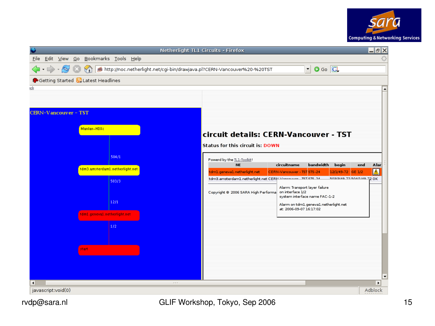

| Netherlight TL1 Circuits - Firefox |                                                   |                                          |                              |                                           |                            |  |  |            |                                           |                                                                         | 그레지                                        |                                                           |                                                      |                                |                                 |  |              |  |
|------------------------------------|---------------------------------------------------|------------------------------------------|------------------------------|-------------------------------------------|----------------------------|--|--|------------|-------------------------------------------|-------------------------------------------------------------------------|--------------------------------------------|-----------------------------------------------------------|------------------------------------------------------|--------------------------------|---------------------------------|--|--------------|--|
|                                    |                                                   |                                          |                              | Eile Edit View Go Bookmarks Tools Help    |                            |  |  |            |                                           |                                                                         |                                            |                                                           |                                                      |                                |                                 |  |              |  |
|                                    | $\langle \cdot   \cdot \rangle \cdot \mathcal{G}$ |                                          |                              |                                           |                            |  |  |            |                                           | http://noc.netherlight.net/cgi-bin/drawjava.pl?CERN-Vancouver%20-%20TST |                                            |                                                           |                                                      | $\circ$ Go $\overline{G}$<br>▾ |                                 |  |              |  |
|                                    |                                                   |                                          |                              | Getting Started <b>N</b> Latest Headlines |                            |  |  |            |                                           |                                                                         |                                            |                                                           |                                                      |                                |                                 |  |              |  |
| ick                                |                                                   |                                          |                              |                                           |                            |  |  |            |                                           |                                                                         |                                            |                                                           |                                                      |                                |                                 |  |              |  |
|                                    |                                                   |                                          |                              |                                           |                            |  |  |            |                                           |                                                                         |                                            |                                                           |                                                      |                                |                                 |  |              |  |
| <b>CERN-Vancouver - TST</b>        |                                                   |                                          |                              |                                           |                            |  |  |            |                                           |                                                                         |                                            |                                                           |                                                      |                                |                                 |  |              |  |
| Manlan-HDXc                        |                                                   |                                          |                              |                                           |                            |  |  |            |                                           | circuit details: CERN-Vancouver - TST                                   |                                            |                                                           |                                                      |                                |                                 |  |              |  |
|                                    |                                                   |                                          |                              |                                           |                            |  |  |            |                                           |                                                                         |                                            | <b>Status for this circuit is: DOWN</b>                   |                                                      |                                |                                 |  |              |  |
|                                    |                                                   | 504/1<br>tdm3.amsterdam1.netherlight.net |                              |                                           | Powerd by the TL1-Toolkit! |  |  |            |                                           |                                                                         |                                            |                                                           |                                                      |                                |                                 |  |              |  |
|                                    |                                                   |                                          |                              |                                           |                            |  |  |            | <b>NE</b><br>tdm1.geneva1.netherlight.net |                                                                         | circuitname<br>CERN-Vancouver - TST STS-24 | bandwidth                                                 | begin<br>12/1/49-72                                  | end<br><b>GE 1/2</b>           | Alar<br>$\overline{\mathbb{A}}$ |  |              |  |
|                                    |                                                   |                                          | 503/3                        |                                           |                            |  |  |            |                                           |                                                                         |                                            | tdm3.amsterdam1.netherlight.net CERN Mancouver Texiere on |                                                      |                                | SOST PAIRING TO BAICICOS        |  |              |  |
|                                    |                                                   |                                          |                              |                                           |                            |  |  |            |                                           |                                                                         |                                            |                                                           | Copyright @ 2006 SARA High Performa on interface 1/2 | Alarm: Transport layer failure |                                 |  |              |  |
|                                    |                                                   |                                          |                              |                                           | 12/1                       |  |  |            |                                           |                                                                         |                                            |                                                           |                                                      | system interface name FAC-1-2  |                                 |  |              |  |
|                                    |                                                   |                                          | tdm1.geneva1.netherlight.net |                                           |                            |  |  |            |                                           |                                                                         |                                            | at: 2006-09-07 16:17:02                                   | Alarm on tdm1.geneva1.netherlight.net                |                                |                                 |  |              |  |
|                                    |                                                   |                                          |                              |                                           |                            |  |  |            |                                           |                                                                         |                                            |                                                           |                                                      |                                |                                 |  |              |  |
|                                    |                                                   |                                          |                              |                                           | 1/2                        |  |  |            |                                           |                                                                         |                                            |                                                           |                                                      |                                |                                 |  |              |  |
|                                    |                                                   |                                          |                              |                                           |                            |  |  |            |                                           |                                                                         |                                            |                                                           |                                                      |                                |                                 |  |              |  |
|                                    |                                                   |                                          | start.                       |                                           |                            |  |  |            |                                           |                                                                         |                                            |                                                           |                                                      |                                |                                 |  |              |  |
|                                    |                                                   |                                          |                              |                                           |                            |  |  |            |                                           |                                                                         |                                            |                                                           |                                                      |                                |                                 |  |              |  |
|                                    |                                                   |                                          |                              |                                           |                            |  |  |            |                                           |                                                                         |                                            |                                                           |                                                      |                                |                                 |  |              |  |
|                                    |                                                   |                                          |                              |                                           |                            |  |  |            |                                           |                                                                         |                                            |                                                           |                                                      |                                |                                 |  | ٠            |  |
| $\blacksquare$                     | javascript:void(0)                                |                                          |                              |                                           |                            |  |  | <b>FFF</b> |                                           |                                                                         |                                            |                                                           |                                                      |                                |                                 |  | ٠<br>Adblock |  |
|                                    |                                                   |                                          |                              |                                           |                            |  |  |            |                                           |                                                                         |                                            |                                                           |                                                      |                                |                                 |  |              |  |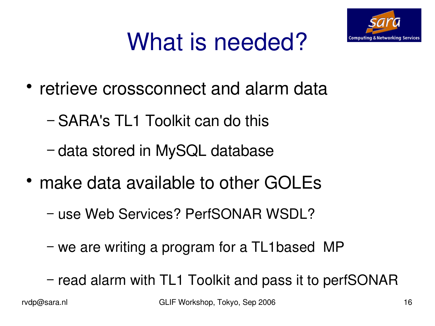

# What is needed?

- retrieve crossconnect and alarm data
	- − SARA's TL1 Toolkit can do this
	- − data stored in MySQL database
- make data available to other GOLEs
	- − use Web Services? PerfSONAR WSDL?
	- − we are writing a program for a TL1based MP
	- − read alarm with TL1 Toolkit and pass it to perfSONAR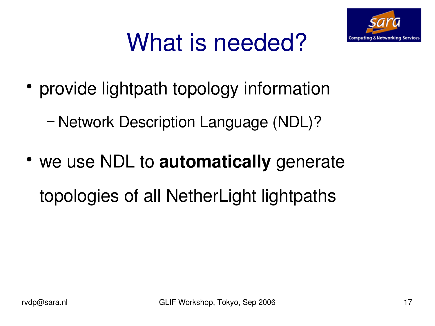

## What is needed?

- provide lightpath topology information
	- − Network Description Language (NDL)?
- we use NDL to **automatically** generate topologies of all NetherLight lightpaths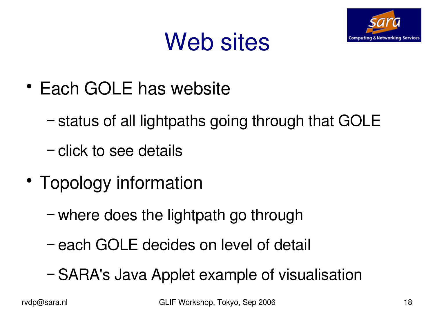

### Web sites

- Each GOLE has website
	- − status of all lightpaths going through that GOLE
	- − click to see details
- Topology information
	- − where does the lightpath go through
	- − each GOLE decides on level of detail
	- − SARA's Java Applet example of visualisation